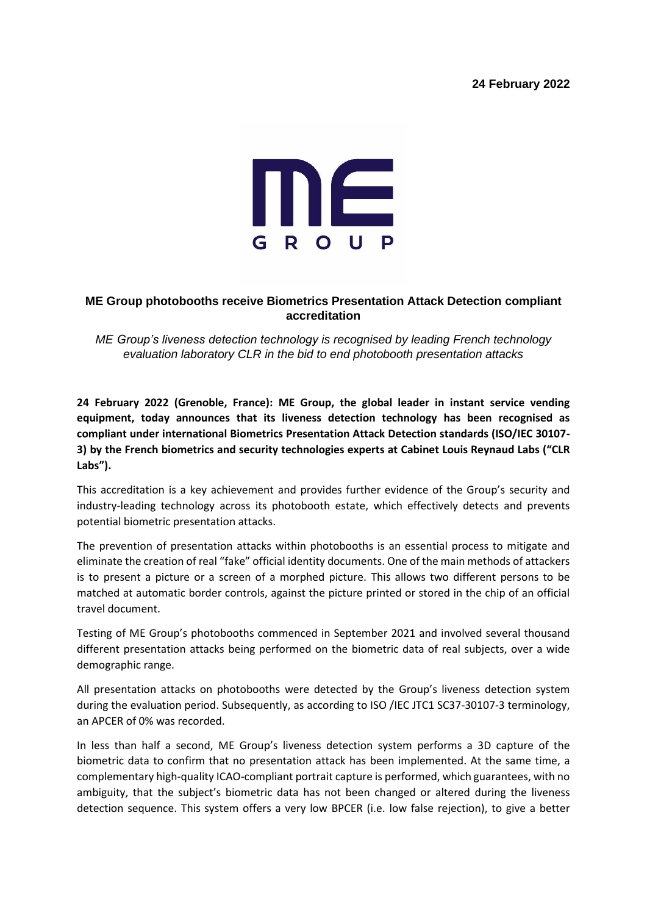# **24 February 2022**



# **ME Group photobooths receive Biometrics Presentation Attack Detection compliant accreditation**

*ME Group's liveness detection technology is recognised by leading French technology evaluation laboratory CLR in the bid to end photobooth presentation attacks*

**24 February 2022 (Grenoble, France): ME Group, the global leader in instant service vending equipment, today announces that its liveness detection technology has been recognised as compliant under international Biometrics Presentation Attack Detection standards (ISO/IEC 30107- 3) by the French biometrics and security technologies experts at Cabinet Louis Reynaud Labs ("CLR Labs").** 

This accreditation is a key achievement and provides further evidence of the Group's security and industry-leading technology across its photobooth estate, which effectively detects and prevents potential biometric presentation attacks.

The prevention of presentation attacks within photobooths is an essential process to mitigate and eliminate the creation of real "fake" official identity documents. One of the main methods of attackers is to present a picture or a screen of a morphed picture. This allows two different persons to be matched at automatic border controls, against the picture printed or stored in the chip of an official travel document.

Testing of ME Group's photobooths commenced in September 2021 and involved several thousand different presentation attacks being performed on the biometric data of real subjects, over a wide demographic range.

All presentation attacks on photobooths were detected by the Group's liveness detection system during the evaluation period. Subsequently, as according to ISO /IEC JTC1 SC37-30107-3 terminology, an APCER of 0% was recorded.

In less than half a second, ME Group's liveness detection system performs a 3D capture of the biometric data to confirm that no presentation attack has been implemented. At the same time, a complementary high-quality ICAO-compliant portrait capture is performed, which guarantees, with no ambiguity, that the subject's biometric data has not been changed or altered during the liveness detection sequence. This system offers a very low BPCER (i.e. low false rejection), to give a better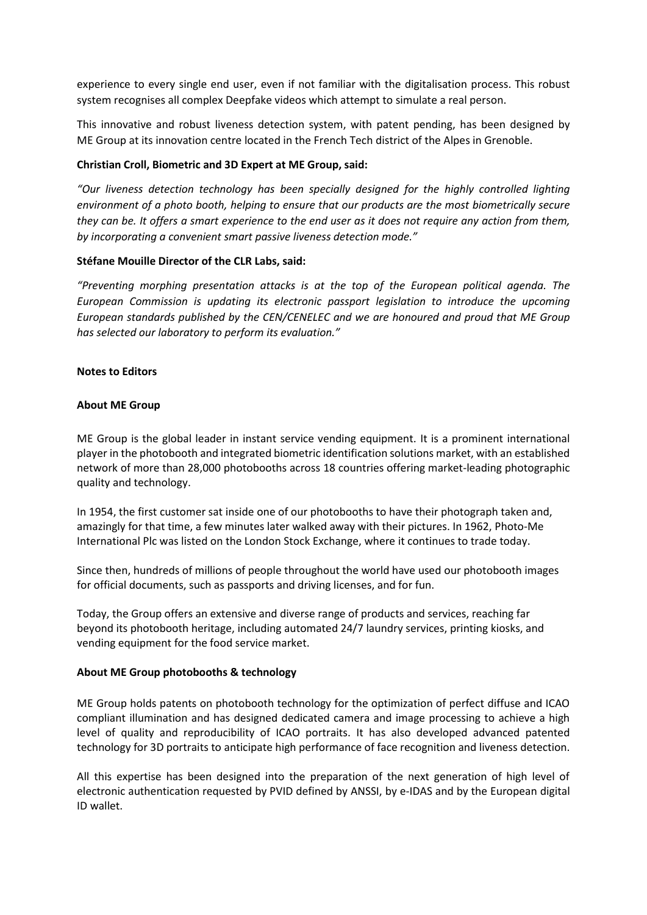experience to every single end user, even if not familiar with the digitalisation process. This robust system recognises all complex Deepfake videos which attempt to simulate a real person.

This innovative and robust liveness detection system, with patent pending, has been designed by ME Group at its innovation centre located in the French Tech district of the Alpes in Grenoble.

### **Christian Croll, Biometric and 3D Expert at ME Group, said:**

*"Our liveness detection technology has been specially designed for the highly controlled lighting environment of a photo booth, helping to ensure that our products are the most biometrically secure they can be. It offers a smart experience to the end user as it does not require any action from them, by incorporating a convenient smart passive liveness detection mode."*

#### **Stéfane Mouille Director of the CLR Labs, said:**

*"Preventing morphing presentation attacks is at the top of the European political agenda. The European Commission is updating its electronic passport legislation to introduce the upcoming European standards published by the CEN/CENELEC and we are honoured and proud that ME Group has selected our laboratory to perform its evaluation."* 

# **Notes to Editors**

# **About ME Group**

ME Group is the global leader in instant service vending equipment. It is a prominent international player in the photobooth and integrated biometric identification solutions market, with an established network of more than 28,000 photobooths across 18 countries offering market-leading photographic quality and technology.

In 1954, the first customer sat inside one of our photobooths to have their photograph taken and, amazingly for that time, a few minutes later walked away with their pictures. In 1962, Photo-Me International Plc was listed on the London Stock Exchange, where it continues to trade today.

Since then, hundreds of millions of people throughout the world have used our photobooth images for official documents, such as passports and driving licenses, and for fun.

Today, the Group offers an extensive and diverse range of products and services, reaching far beyond its photobooth heritage, including automated 24/7 laundry services, printing kiosks, and vending equipment for the food service market.

#### **About ME Group photobooths & technology**

ME Group holds patents on photobooth technology for the optimization of perfect diffuse and ICAO compliant illumination and has designed dedicated camera and image processing to achieve a high level of quality and reproducibility of ICAO portraits. It has also developed advanced patented technology for 3D portraits to anticipate high performance of face recognition and liveness detection.

All this expertise has been designed into the preparation of the next generation of high level of electronic authentication requested by PVID defined by ANSSI, by e-IDAS and by the European digital ID wallet.